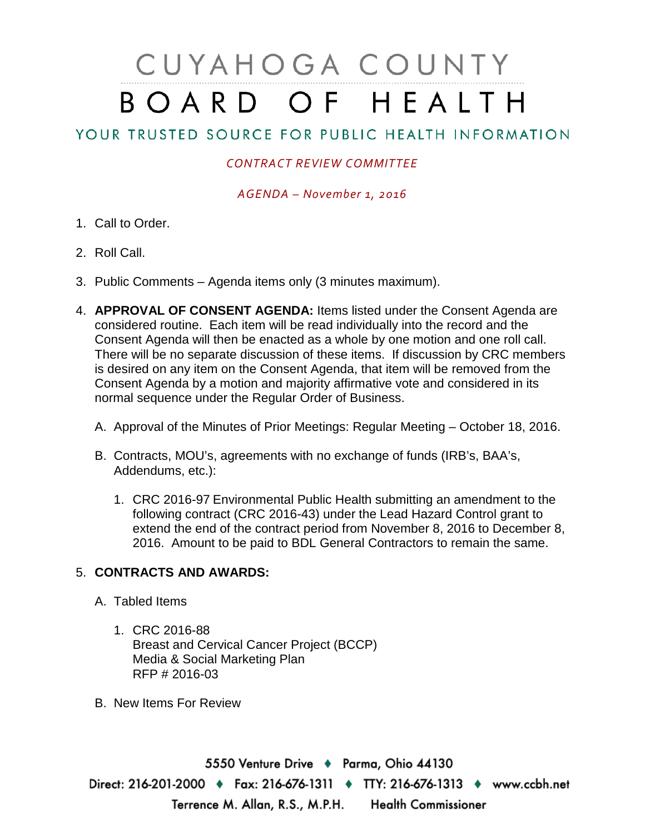# CUYAHOGA COUNTY BOARD OF HEALTH

## YOUR TRUSTED SOURCE FOR PUBLIC HEALTH INFORMATION

#### *CONTRACT REVIEW COMMITTEE*

*AGENDA – November 1, 2016*

- 1. Call to Order.
- 2. Roll Call.
- 3. Public Comments Agenda items only (3 minutes maximum).
- 4. **APPROVAL OF CONSENT AGENDA:** Items listed under the Consent Agenda are considered routine. Each item will be read individually into the record and the Consent Agenda will then be enacted as a whole by one motion and one roll call. There will be no separate discussion of these items. If discussion by CRC members is desired on any item on the Consent Agenda, that item will be removed from the Consent Agenda by a motion and majority affirmative vote and considered in its normal sequence under the Regular Order of Business.
	- A. Approval of the Minutes of Prior Meetings: Regular Meeting October 18, 2016.
	- B. Contracts, MOU's, agreements with no exchange of funds (IRB's, BAA's, Addendums, etc.):
		- 1. CRC 2016-97 Environmental Public Health submitting an amendment to the following contract (CRC 2016-43) under the Lead Hazard Control grant to extend the end of the contract period from November 8, 2016 to December 8, 2016. Amount to be paid to BDL General Contractors to remain the same.

### 5. **CONTRACTS AND AWARDS:**

- A. Tabled Items
	- 1. CRC 2016-88 Breast and Cervical Cancer Project (BCCP) Media & Social Marketing Plan RFP # 2016-03
- B. New Items For Review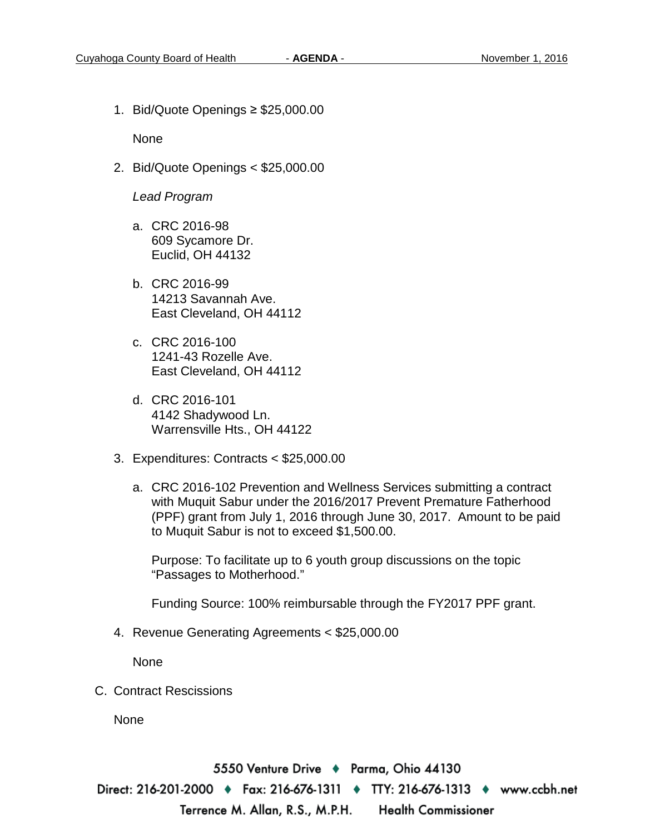1. Bid/Quote Openings ≥ \$25,000.00

None

2. Bid/Quote Openings < \$25,000.00

#### *Lead Program*

- a. CRC 2016-98 609 Sycamore Dr. Euclid, OH 44132
- b. CRC 2016-99 14213 Savannah Ave. East Cleveland, OH 44112
- c. CRC 2016-100 1241-43 Rozelle Ave. East Cleveland, OH 44112
- d. CRC 2016-101 4142 Shadywood Ln. Warrensville Hts., OH 44122
- 3. Expenditures: Contracts < \$25,000.00
	- a. CRC 2016-102 Prevention and Wellness Services submitting a contract with Muquit Sabur under the 2016/2017 Prevent Premature Fatherhood (PPF) grant from July 1, 2016 through June 30, 2017. Amount to be paid to Muquit Sabur is not to exceed \$1,500.00.

Purpose: To facilitate up to 6 youth group discussions on the topic "Passages to Motherhood."

Funding Source: 100% reimbursable through the FY2017 PPF grant.

4. Revenue Generating Agreements < \$25,000.00

None

C. Contract Rescissions

None

5550 Venture Drive + Parma, Ohio 44130 Direct: 216-201-2000 ♦ Fax: 216-676-1311 ♦ TTY: 216-676-1313 ♦ www.ccbh.net Terrence M. Allan, R.S., M.P.H. Health Commissioner